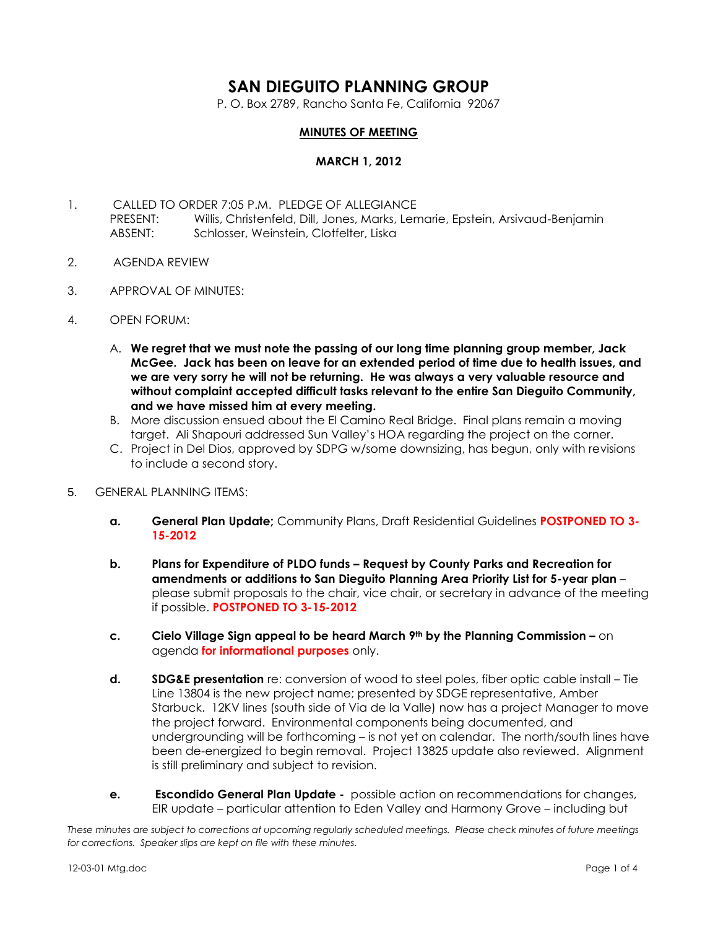# **SAN DIEGUITO PLANNING GROUP**

P. O. Box 2789, Rancho Santa Fe, California 92067

# **MINUTES OF MEETING**

### **MARCH 1, 2012**

- 1. CALLED TO ORDER 7:05 P.M. PLEDGE OF ALLEGIANCE PRESENT: Willis, Christenfeld, Dill, Jones, Marks, Lemarie, Epstein, Arsivaud-Benjamin ABSENT: Schlosser, Weinstein, Clotfelter, Liska
- 2. AGENDA REVIEW
- 3. APPROVAL OF MINUTES:
- 4. OPEN FORUM:
	- A. **We regret that we must note the passing of our long time planning group member, Jack McGee. Jack has been on leave for an extended period of time due to health issues, and we are very sorry he will not be returning. He was always a very valuable resource and without complaint accepted difficult tasks relevant to the entire San Dieguito Community, and we have missed him at every meeting.**
	- B. More discussion ensued about the El Camino Real Bridge. Final plans remain a moving target. Ali Shapouri addressed Sun Valley's HOA regarding the project on the corner.
	- C. Project in Del Dios, approved by SDPG w/some downsizing, has begun, only with revisions to include a second story.
- 5. GENERAL PLANNING ITEMS:
	- **a. General Plan Update;** Community Plans, Draft Residential Guidelines **POSTPONED TO 3- 15-2012**
	- **b. Plans for Expenditure of PLDO funds – Request by County Parks and Recreation for amendments or additions to San Dieguito Planning Area Priority List for 5-year plan** – please submit proposals to the chair, vice chair, or secretary in advance of the meeting if possible. **POSTPONED TO 3-15-2012**
	- **c. Cielo Village Sign appeal to be heard March 9th by the Planning Commission –** on agenda **for informational purposes** only.
	- **d. SDG&E presentation** re: conversion of wood to steel poles, fiber optic cable install Tie Line 13804 is the new project name; presented by SDGE representative, Amber Starbuck. 12KV lines (south side of Via de la Valle) now has a project Manager to move the project forward. Environmental components being documented, and undergrounding will be forthcoming – is not yet on calendar. The north/south lines have been de-energized to begin removal. Project 13825 update also reviewed. Alignment is still preliminary and subject to revision.
	- **e. Escondido General Plan Update -** possible action on recommendations for changes, EIR update – particular attention to Eden Valley and Harmony Grove – including but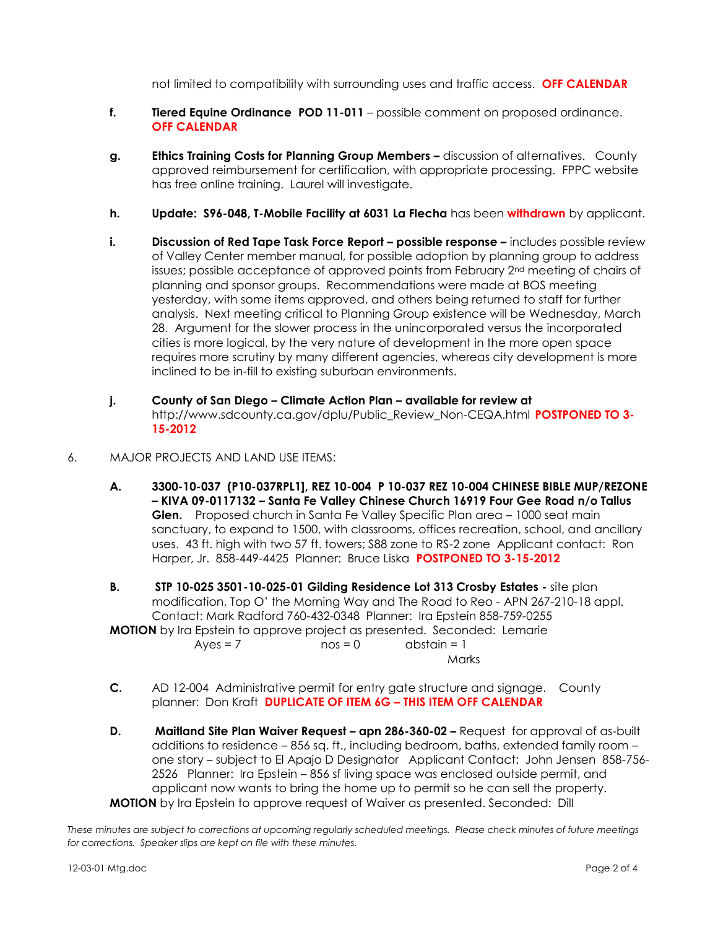not limited to compatibility with surrounding uses and traffic access. **OFF CALENDAR**

- **f. Tiered Equine Ordinance POD 11-011** possible comment on proposed ordinance. **OFF CALENDAR**
- **g. Ethics Training Costs for Planning Group Members –** discussion of alternatives. County approved reimbursement for certification, with appropriate processing. FPPC website has free online training. Laurel will investigate.
- **h. Update: S96-048, T-Mobile Facility at 6031 La Flecha** has been **withdrawn** by applicant.
- **i. Discussion of Red Tape Task Force Report possible response –** includes possible review of Valley Center member manual, for possible adoption by planning group to address issues; possible acceptance of approved points from February 2nd meeting of chairs of planning and sponsor groups. Recommendations were made at BOS meeting yesterday, with some items approved, and others being returned to staff for further analysis. Next meeting critical to Planning Group existence will be Wednesday, March 28. Argument for the slower process in the unincorporated versus the incorporated cities is more logical, by the very nature of development in the more open space requires more scrutiny by many different agencies, whereas city development is more inclined to be in-fill to existing suburban environments.
- **j. County of San Diego – Climate Action Plan – available for review at**  http://www.sdcounty.ca.gov/dplu/Public\_Review\_Non-CEQA.html **POSTPONED TO 3- 15-2012**
- 6. MAJOR PROJECTS AND LAND USE ITEMS:
	- **A. 3300-10-037 (P10-037RPL1], REZ 10-004 P 10-037 REZ 10-004 CHINESE BIBLE MUP/REZONE – KIVA 09-0117132 – Santa Fe Valley Chinese Church 16919 Four Gee Road n/o Tallus Glen.** Proposed church in Santa Fe Valley Specific Plan area – 1000 seat main sanctuary, to expand to 1500, with classrooms, offices recreation, school, and ancillary uses. 43 ft. high with two 57 ft. towers; S88 zone to RS-2 zone Applicant contact: Ron Harper, Jr. 858-449-4425 Planner: Bruce Liska **POSTPONED TO 3-15-2012**
	- **B. STP 10-025 3501-10-025-01 Gilding Residence Lot 313 Crosby Estates -** site plan modification, Top O' the Morning Way and The Road to Reo - APN 267-210-18 appl. Contact: Mark Radford 760-432-0348 Planner: Ira Epstein 858-759-0255 **MOTION** by Ira Epstein to approve project as presented. Seconded: Lemarie

 $Ayes = 7$  nos = 0 abstain = 1 Marks

- **C.** AD 12-004 Administrative permit for entry gate structure and signage. County planner: Don Kraft **DUPLICATE OF ITEM 6G – THIS ITEM OFF CALENDAR**
- **D. Maitland Site Plan Waiver Request – apn 286-360-02 –** Request for approval of as-built additions to residence – 856 sq. ft., including bedroom, baths, extended family room – one story – subject to El Apajo D Designator Applicant Contact: John Jensen 858-756- 2526 Planner: Ira Epstein – 856 sf living space was enclosed outside permit, and applicant now wants to bring the home up to permit so he can sell the property. **MOTION** by Ira Epstein to approve request of Waiver as presented. Seconded: Dill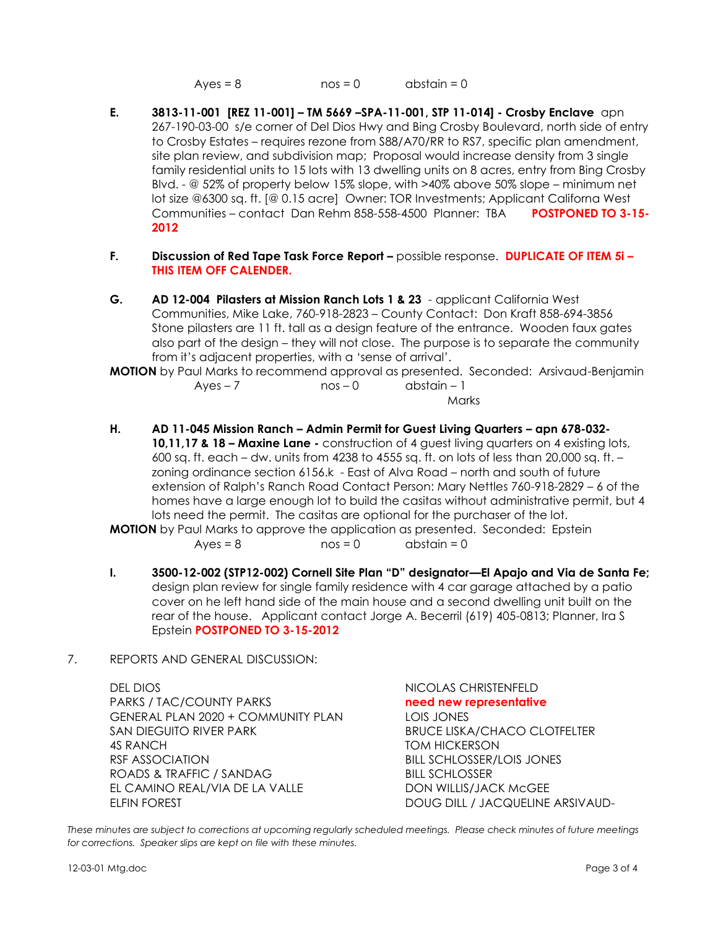$Ayes = 8$  nos = 0 abstain = 0

- **E. 3813-11-001 [REZ 11-001] – TM 5669 –SPA-11-001, STP 11-014] - Crosby Enclave** apn 267-190-03-00 s/e corner of Del Dios Hwy and Bing Crosby Boulevard, north side of entry to Crosby Estates – requires rezone from S88/A70/RR to RS7, specific plan amendment, site plan review, and subdivision map; Proposal would increase density from 3 single family residential units to 15 lots with 13 dwelling units on 8 acres, entry from Bing Crosby Blvd. - @ 52% of property below 15% slope, with >40% above 50% slope – minimum net lot size @6300 sq. ft. [@ 0.15 acre] Owner: TOR Investments; Applicant Californa West Communities – contact Dan Rehm 858-558-4500 Planner: TBA **POSTPONED TO 3-15- 2012**
- **F. Discussion of Red Tape Task Force Report –** possible response. **DUPLICATE OF ITEM 5i – THIS ITEM OFF CALENDER.**
- **G. AD 12-004 Pilasters at Mission Ranch Lots 1 & 23**  applicant California West Communities, Mike Lake, 760-918-2823 – County Contact: Don Kraft 858-694-3856 Stone pilasters are 11 ft. tall as a design feature of the entrance. Wooden faux gates also part of the design – they will not close. The purpose is to separate the community from it's adjacent properties, with a 'sense of arrival'.

**MOTION** by Paul Marks to recommend approval as presented. Seconded: Arsivaud-Benjamin  $Ayes - 7$  nos – 0 abstain – 1

Marks

**H. AD 11-045 Mission Ranch – Admin Permit for Guest Living Quarters – apn 678-032- 10,11,17 & 18 – Maxine Lane -** construction of 4 guest living quarters on 4 existing lots, 600 sq. ft. each – dw. units from 4238 to 4555 sq. ft. on lots of less than 20,000 sq. ft. – zoning ordinance section 6156.k - East of Alva Road – north and south of future extension of Ralph's Ranch Road Contact Person: Mary Nettles 760-918-2829 – 6 of the homes have a large enough lot to build the casitas without administrative permit, but 4 lots need the permit. The casitas are optional for the purchaser of the lot.

**MOTION** by Paul Marks to approve the application as presented. Seconded: Epstein  $Ayes = 8$  nos = 0 abstain = 0

- **I. 3500-12-002 (STP12-002) Cornell Site Plan "D" designator—El Apajo and Via de Santa Fe;** design plan review for single family residence with 4 car garage attached by a patio cover on he left hand side of the main house and a second dwelling unit built on the rear of the house. Applicant contact Jorge A. Becerril (619) 405-0813; Planner, Ira S Epstein **POSTPONED TO 3-15-2012**
- 7. REPORTS AND GENERAL DISCUSSION:

DEL DIOS NICOLAS CHRISTENFELD PARKS / TAC/COUNTY PARKS **need new representative** GENERAL PLAN 2020 + COMMUNITY PLAN LOIS JONES SAN DIEGUITO RIVER PARK BRUCE LISKA/CHACO CLOTFELTER 4S RANCH TOM HICKERSON RSF ASSOCIATION BILL SCHLOSSER/LOIS JONES ROADS & TRAFFIC / SANDAG BILL SCHLOSSER EL CAMINO REAL/VIA DE LA VALLE DON WILLIS/JACK McGEE ELFIN FOREST DOUG DILL / JACQUELINE ARSIVAUD-